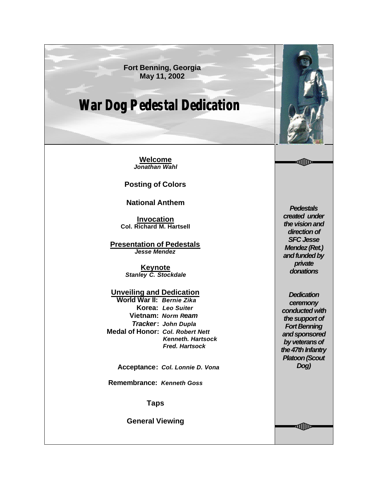**Fort Benning, Georgia May 11, 2002**

## **War Dog Pedestal Dedication**

**Welcome** *Jonathan Wahl*

**Posting of Colors**

**National Anthem**

**Invocation Col. Richard M. Hartsell**

**Presentation of Pedestals** *Jesse Mendez*

> **Keynote** *Stanley C. Stockdale*

**Unveiling and Dedication World War II:** *Bernie Zika*  **Korea:** *Leo Suiter*  **Vietnam:** *Norm Ream Tracker***:** *John Dupla*  **Medal of Honor:** *Col. Robert Nett Kenneth. Hartsock Fred. Hartsock*

 **Acceptance:** *Col. Lonnie D. Vona*

**Remembrance:** *Kenneth Goss*

**Taps**

**General Viewing**

*Pedestals created under the vision and direction of SFC Jesse Mendez (Ret.) and funded by private donations*

*Dedication ceremony conducted with the support of Fort Benning and sponsored by veterans of the 47th Infantry Platoon (Scout Dog)*

**₫∭)**